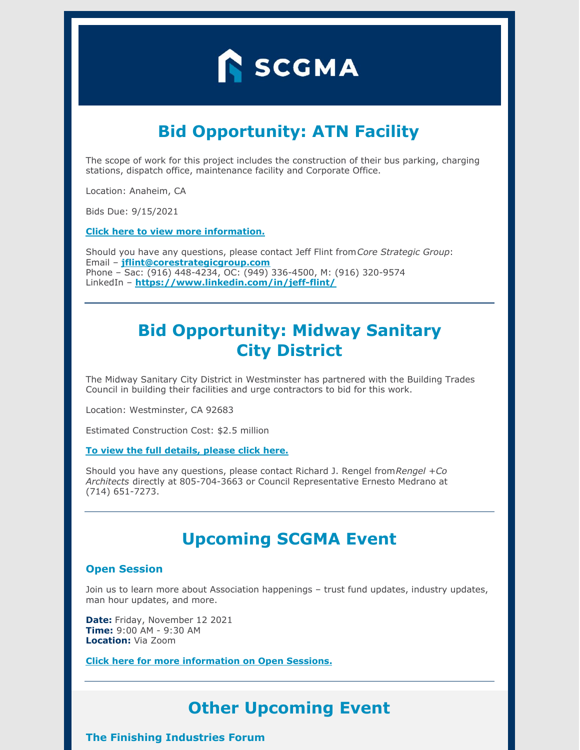

# **Bid Opportunity: ATN Facility**

The scope of work for this project includes the construction of their bus parking, charging stations, dispatch office, maintenance facility and Corporate Office.

Location: Anaheim, CA

Bids Due: 9/15/2021

**Click here to view more [information.](https://www.scgma.com/bidding-opportunities/)**

Should you have any questions, please contact Jeff Flint from*Core Strategic Group*: Email – **[jflint@corestrategicgroup.com](mailto:jflint@corestrategicgroup.com)** Phone – Sac: (916) 448-4234, OC: (949) 336-4500, M: (916) 320-9574 LinkedIn – **<https://www.linkedin.com/in/jeff-flint/>**

# **Bid Opportunity: Midway Sanitary City District**

The Midway Sanitary City District in Westminster has partnered with the Building Trades Council in building their facilities and urge contractors to bid for this work.

Location: Westminster, CA 92683

Estimated Construction Cost: \$2.5 million

#### **To view the full [details,](https://www.scgma.com/bidding-opportunities/) please click here.**

Should you have any questions, please contact Richard J. Rengel from*Rengel +Co Architects* directly at 805-704-3663 or Council Representative Ernesto Medrano at (714) 651-7273.

### **Upcoming SCGMA Event**

### **Open Session**

Join us to learn more about Association happenings – trust fund updates, industry updates, man hour updates, and more.

**Date:** Friday, November 12 2021 **Time:** 9:00 AM - 9:30 AM **Location:** Via Zoom

**Click here for more [information](https://www.scgma.com/open-sessions/) on Open Sessions.**

# **Other Upcoming Event**

**The Finishing Industries Forum**